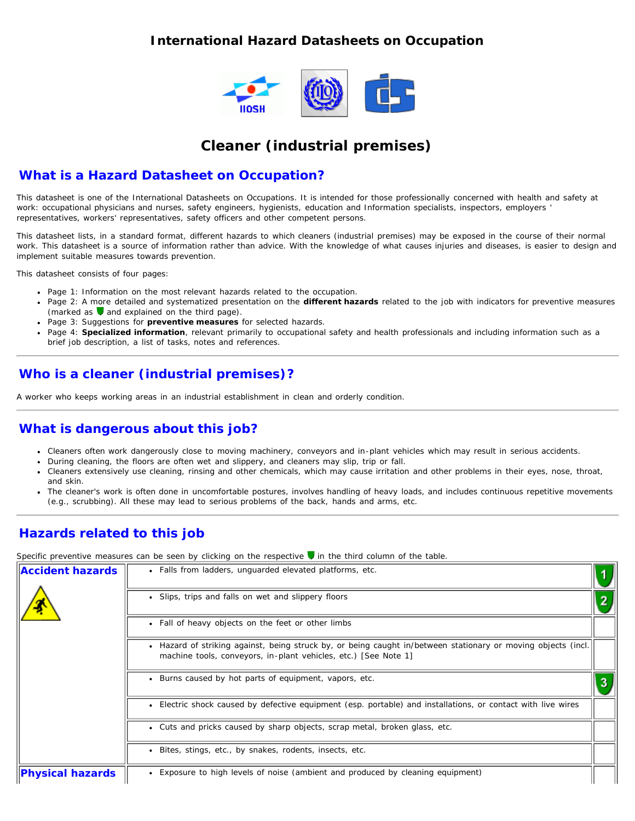#### <span id="page-0-0"></span>**International Hazard Datasheets on Occupation**



# **Cleaner (industrial premises)**

#### **What is a Hazard Datasheet on Occupation?**

This datasheet is one of the International Datasheets on Occupations. It is intended for those professionally concerned with health and safety at work: occupational physicians and nurses, safety engineers, hygienists, education and Information specialists, inspectors, employers ' representatives, workers' representatives, safety officers and other competent persons.

This datasheet lists, in a standard format, different hazards to which cleaners (industrial premises) may be exposed in the course of their normal work. This datasheet is a source of information rather than advice. With the knowledge of what causes injuries and diseases, is easier to design and implement suitable measures towards prevention.

This datasheet consists of four pages:

- Page 1: Information on the most relevant hazards related to the occupation.
- Page 2: A more detailed and systematized presentation on the **different hazards** related to the job with indicators for preventive measures (marked as  $\bigtriangledown$  and explained on the third page).
- Page 3: Suggestions for **preventive measures** for selected hazards.
- Page 4: **Specialized information**, relevant primarily to occupational safety and health professionals and including information such as a brief job description, a list of tasks, notes and references.

## **Who is a cleaner (industrial premises)?**

A worker who keeps working areas in an industrial establishment in clean and orderly condition.

#### **What is dangerous about this job?**

- Cleaners often work dangerously close to moving machinery, conveyors and in-plant vehicles which may result in serious accidents.
- During cleaning, the floors are often wet and slippery, and cleaners may slip, trip or fall.
- Cleaners extensively use cleaning, rinsing and other chemicals, which may cause irritation and other problems in their eyes, nose, throat,  $\bullet$ and skin.
- The cleaner's work is often done in uncomfortable postures, involves handling of heavy loads, and includes continuous repetitive movements (e.g., scrubbing). All these may lead to serious problems of the back, hands and arms, etc.

### **Hazards related to this job**

Specific preventive measures can be seen by clicking on the respective **v** in the third column of the table.

| <b>Accident hazards</b> | • Falls from ladders, unguarded elevated platforms, etc.                                                                                                                         |  |  |  |  |  |
|-------------------------|----------------------------------------------------------------------------------------------------------------------------------------------------------------------------------|--|--|--|--|--|
|                         | • Slips, trips and falls on wet and slippery floors                                                                                                                              |  |  |  |  |  |
|                         | • Fall of heavy objects on the feet or other limbs                                                                                                                               |  |  |  |  |  |
|                         | • Hazard of striking against, being struck by, or being caught in/between stationary or moving objects (incl.<br>machine tools, conveyors, in-plant vehicles, etc.) [See Note 1] |  |  |  |  |  |
|                         | • Burns caused by hot parts of equipment, vapors, etc.                                                                                                                           |  |  |  |  |  |
|                         | • Electric shock caused by defective equipment (esp. portable) and installations, or contact with live wires                                                                     |  |  |  |  |  |
|                         | • Cuts and pricks caused by sharp objects, scrap metal, broken glass, etc.                                                                                                       |  |  |  |  |  |
|                         | Bites, stings, etc., by snakes, rodents, insects, etc.<br>$\bullet$                                                                                                              |  |  |  |  |  |
| <b>Physical hazards</b> | Exposure to high levels of noise (ambient and produced by cleaning equipment)                                                                                                    |  |  |  |  |  |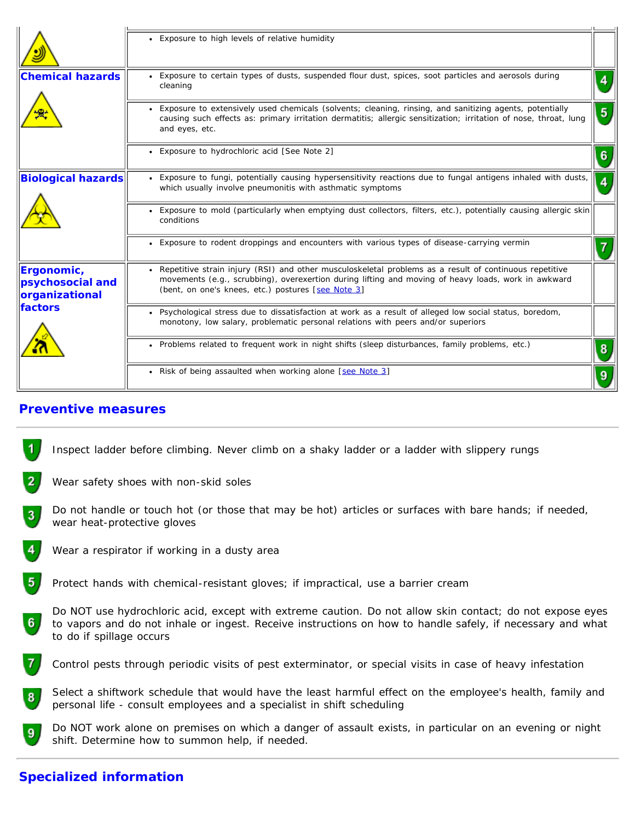|                                                  | • Exposure to high levels of relative humidity                                                                                                                                                                                                                        |   |
|--------------------------------------------------|-----------------------------------------------------------------------------------------------------------------------------------------------------------------------------------------------------------------------------------------------------------------------|---|
| <b>Chemical hazards</b>                          | • Exposure to certain types of dusts, suspended flour dust, spices, soot particles and aerosols during<br>cleaning                                                                                                                                                    |   |
|                                                  | • Exposure to extensively used chemicals (solvents; cleaning, rinsing, and sanitizing agents, potentially<br>causing such effects as: primary irritation dermatitis; allergic sensitization; irritation of nose, throat, lung<br>and eyes, etc.                       | 5 |
|                                                  | • Exposure to hydrochloric acid [See Note 2]                                                                                                                                                                                                                          |   |
| <b>Biological hazards</b>                        | • Exposure to fungi, potentially causing hypersensitivity reactions due to fungal antigens inhaled with dusts,<br>which usually involve pneumonitis with asthmatic symptoms                                                                                           |   |
|                                                  | • Exposure to mold (particularly when emptying dust collectors, filters, etc.), potentially causing allergic skin<br>conditions                                                                                                                                       |   |
|                                                  | • Exposure to rodent droppings and encounters with various types of disease-carrying vermin                                                                                                                                                                           |   |
| Ergonomic,<br>psychosocial and<br>organizational | • Repetitive strain injury (RSI) and other musculoskeletal problems as a result of continuous repetitive<br>movements (e.g., scrubbing), overexertion during lifting and moving of heavy loads, work in awkward<br>(bent, on one's knees, etc.) postures [see Note 3] |   |
| factors                                          | Psychological stress due to dissatisfaction at work as a result of alleged low social status, boredom,<br>monotony, low salary, problematic personal relations with peers and/or superiors                                                                            |   |
|                                                  | . Problems related to frequent work in night shifts (sleep disturbances, family problems, etc.)                                                                                                                                                                       |   |
|                                                  | • Risk of being assaulted when working alone [see Note 3]                                                                                                                                                                                                             |   |

#### **Preventive measures**

- 1 Inspect ladder before climbing. Never climb on a shaky ladder or a ladder with slippery rungs
- $\overline{2}$ Wear safety shoes with non-skid soles
- Do not handle or touch hot (or those that may be hot) articles or surfaces with bare hands; if needed,  $3<sub>1</sub>$ wear heat-protective gloves
- $\overline{4}$ Wear a respirator if working in a dusty area
- $5<sub>1</sub>$ Protect hands with chemical-resistant gloves; if impractical, use a barrier cream
- Do NOT use hydrochloric acid, except with extreme caution. Do not allow skin contact; do not expose eyes 6 to vapors and do not inhale or ingest. Receive instructions on how to handle safely, if necessary and what to do if spillage occurs
- 7 Control pests through periodic visits of pest exterminator, or special visits in case of heavy infestation
- Select a shiftwork schedule that would have the least harmful effect on the employee's health, family and 8 personal life - consult employees and a specialist in shift scheduling



# **Specialized information**